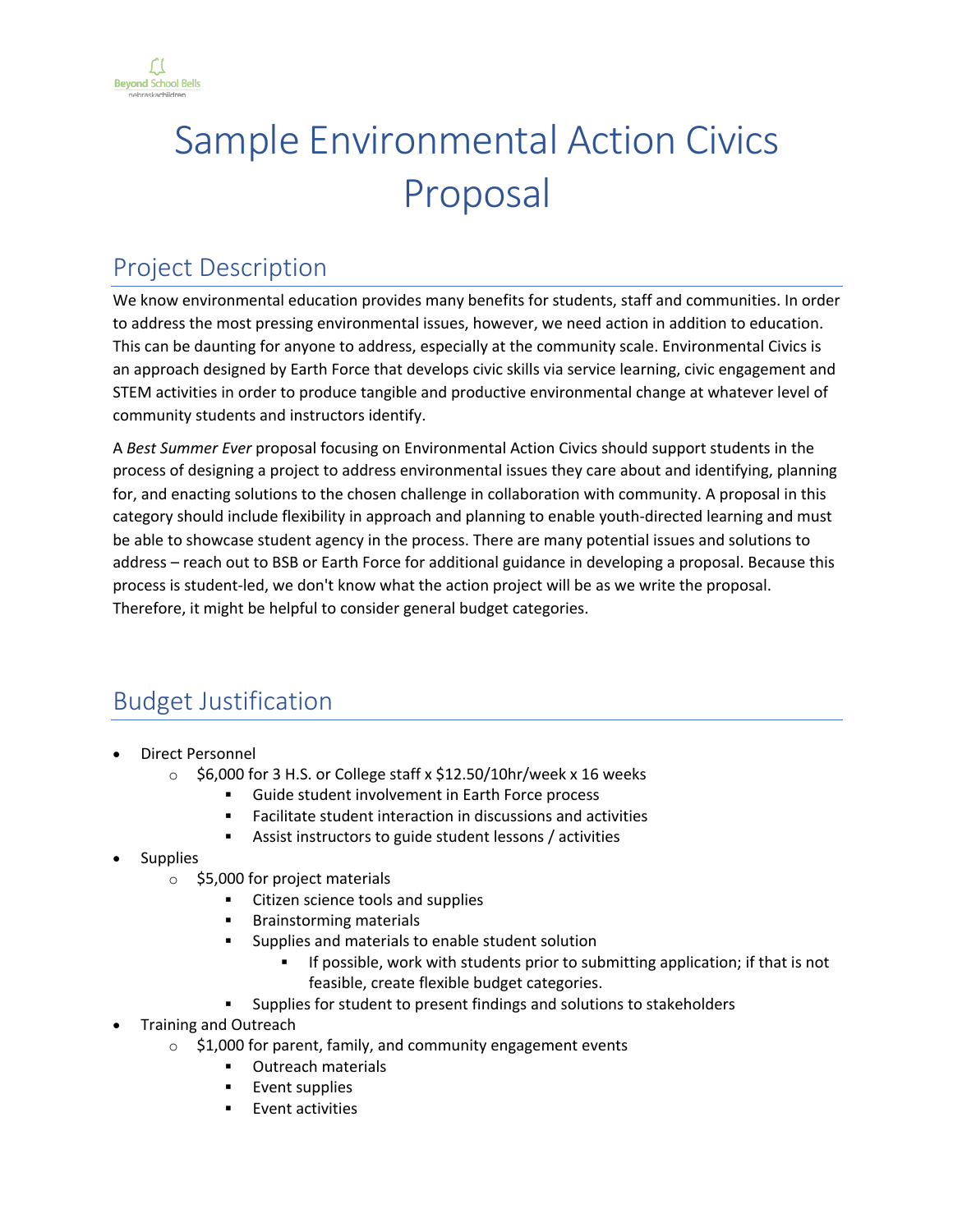

# Sample Environmental Action Civics Proposal

## Project Description

We know environmental education provides many benefits for students, staff and communities. In order to address the most pressing environmental issues, however, we need action in addition to education. This can be daunting for anyone to address, especially at the community scale. Environmental Civics is an approach designed by Earth Force that develops civic skills via service learning, civic engagement and STEM activities in order to produce tangible and productive environmental change at whatever level of community students and instructors identify.

A *Best Summer Ever* proposal focusing on Environmental Action Civics should support students in the process of designing a project to address environmental issues they care about and identifying, planning for, and enacting solutions to the chosen challenge in collaboration with community. A proposal in this category should include flexibility in approach and planning to enable youth-directed learning and must be able to showcase student agency in the process. There are many potential issues and solutions to address – reach out to BSB or Earth Force for additional guidance in developing a proposal. Because this process is student-led, we don't know what the action project will be as we write the proposal. Therefore, it might be helpful to consider general budget categories.

## Budget Justification

- Direct Personnel
	- $\circ$  \$6,000 for 3 H.S. or College staff x \$12.50/10hr/week x 16 weeks
		- § Guide student involvement in Earth Force process
		- Facilitate student interaction in discussions and activities
		- Assist instructors to guide student lessons / activities
- **Supplies** 
	- o \$5,000 for project materials
		- § Citizen science tools and supplies
		- § Brainstorming materials
		- § Supplies and materials to enable student solution
			- If possible, work with students prior to submitting application; if that is not feasible, create flexible budget categories.
		- Supplies for student to present findings and solutions to stakeholders
- Training and Outreach
	- $\circ$  \$1,000 for parent, family, and community engagement events
		- § Outreach materials
		- § Event supplies
		- § Event activities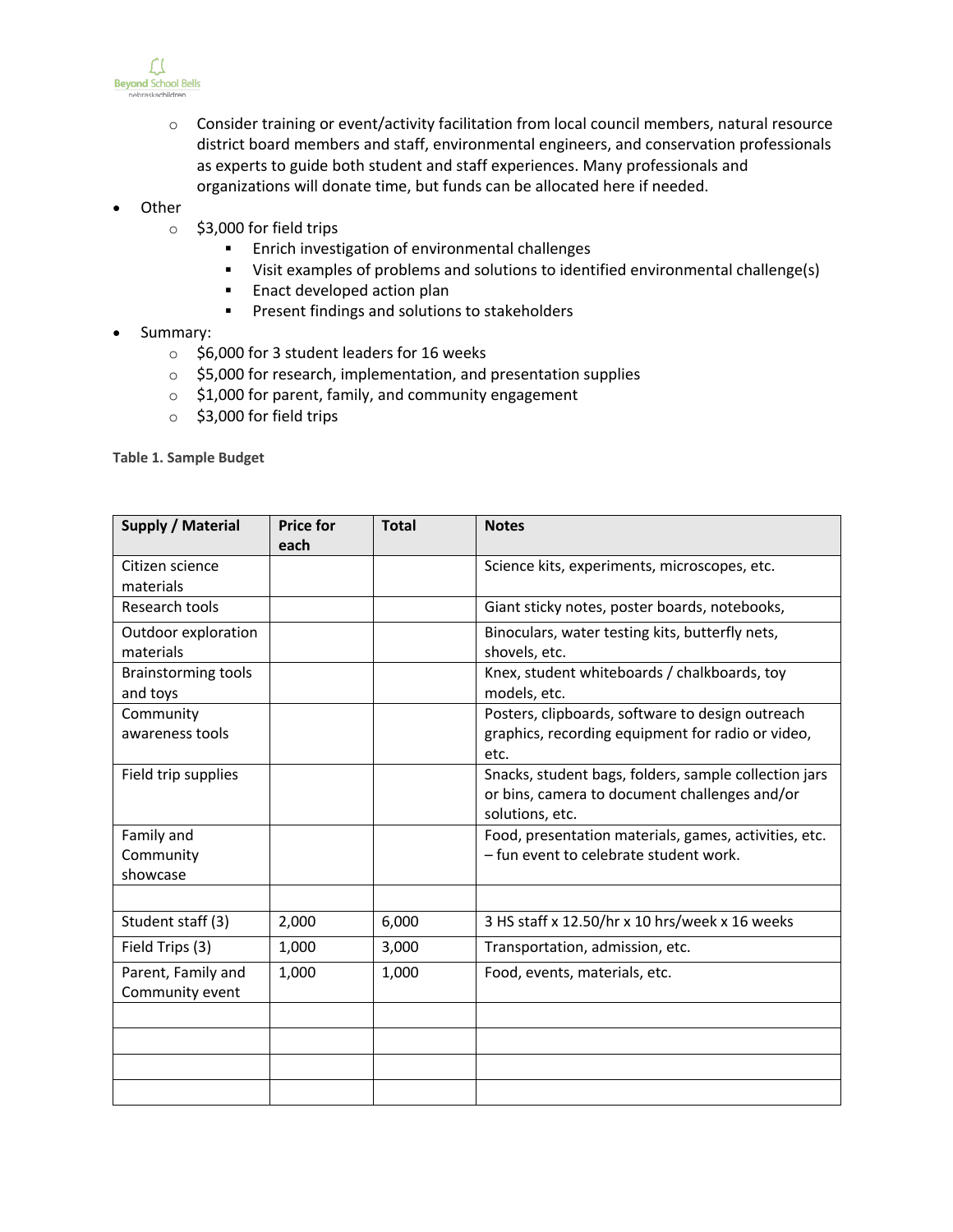

- o Consider training or event/activity facilitation from local council members, natural resource district board members and staff, environmental engineers, and conservation professionals as experts to guide both student and staff experiences. Many professionals and organizations will donate time, but funds can be allocated here if needed.
- **Other** 
	- o \$3,000 for field trips
		- § Enrich investigation of environmental challenges
		- § Visit examples of problems and solutions to identified environmental challenge(s)
		- Enact developed action plan
		- § Present findings and solutions to stakeholders
- Summary:
	- o \$6,000 for 3 student leaders for 16 weeks
	- o \$5,000 for research, implementation, and presentation supplies
	- o \$1,000 for parent, family, and community engagement
	- o \$3,000 for field trips

**Table 1. Sample Budget**

| Supply / Material                      | <b>Price for</b> | <b>Total</b> | <b>Notes</b>                                                                                                              |
|----------------------------------------|------------------|--------------|---------------------------------------------------------------------------------------------------------------------------|
| Citizen science<br>materials           | each             |              | Science kits, experiments, microscopes, etc.                                                                              |
| Research tools                         |                  |              | Giant sticky notes, poster boards, notebooks,                                                                             |
| Outdoor exploration<br>materials       |                  |              | Binoculars, water testing kits, butterfly nets,<br>shovels, etc.                                                          |
| <b>Brainstorming tools</b><br>and toys |                  |              | Knex, student whiteboards / chalkboards, toy<br>models, etc.                                                              |
| Community<br>awareness tools           |                  |              | Posters, clipboards, software to design outreach<br>graphics, recording equipment for radio or video,<br>etc.             |
| Field trip supplies                    |                  |              | Snacks, student bags, folders, sample collection jars<br>or bins, camera to document challenges and/or<br>solutions, etc. |
| Family and<br>Community<br>showcase    |                  |              | Food, presentation materials, games, activities, etc.<br>- fun event to celebrate student work.                           |
|                                        |                  |              |                                                                                                                           |
| Student staff (3)                      | 2,000            | 6,000        | 3 HS staff x 12.50/hr x 10 hrs/week x 16 weeks                                                                            |
| Field Trips (3)                        | 1,000            | 3,000        | Transportation, admission, etc.                                                                                           |
| Parent, Family and<br>Community event  | 1,000            | 1,000        | Food, events, materials, etc.                                                                                             |
|                                        |                  |              |                                                                                                                           |
|                                        |                  |              |                                                                                                                           |
|                                        |                  |              |                                                                                                                           |
|                                        |                  |              |                                                                                                                           |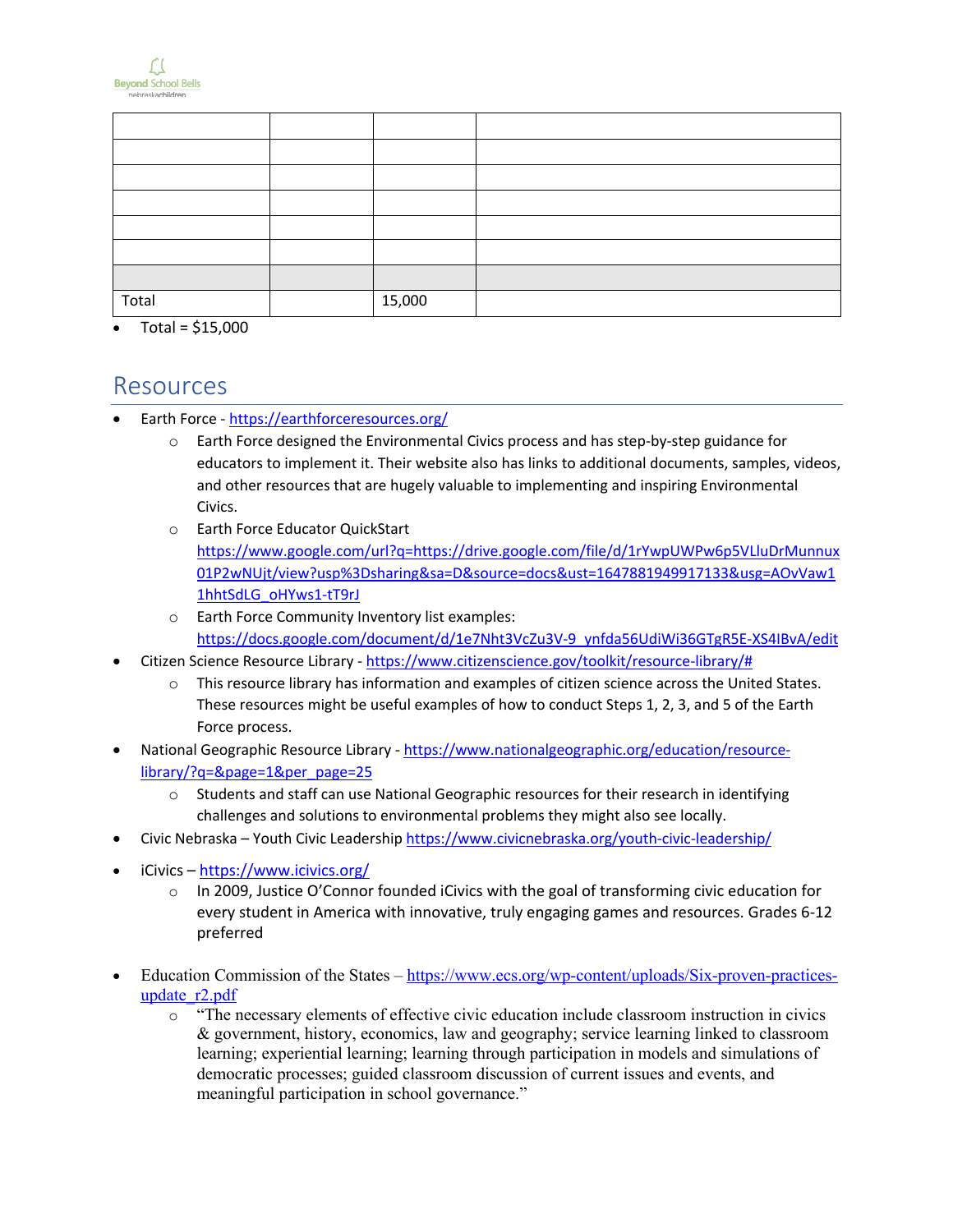

| Total | 15,000 |  |
|-------|--------|--|

• Total = \$15,000

#### Resources

- Earth Force https://earthforceresources.org/
	- o Earth Force designed the Environmental Civics process and has step-by-step guidance for educators to implement it. Their website also has links to additional documents, samples, videos, and other resources that are hugely valuable to implementing and inspiring Environmental Civics.
	- o Earth Force Educator QuickStart https://www.google.com/url?q=https://drive.google.com/file/d/1rYwpUWPw6p5VLluDrMunnux 01P2wNUjt/view?usp%3Dsharing&sa=D&source=docs&ust=1647881949917133&usg=AOvVaw1 1hhtSdLG\_oHYws1-tT9rJ
	- o Earth Force Community Inventory list examples: https://docs.google.com/document/d/1e7Nht3VcZu3V-9\_ynfda56UdiWi36GTgR5E-XS4IBvA/edit
- Citizen Science Resource Library https://www.citizenscience.gov/toolkit/resource-library/#
	- o This resource library has information and examples of citizen science across the United States. These resources might be useful examples of how to conduct Steps 1, 2, 3, and 5 of the Earth Force process.
- National Geographic Resource Library https://www.nationalgeographic.org/education/resourcelibrary/?q=&page=1&per\_page=25
	- o Students and staff can use National Geographic resources for their research in identifying challenges and solutions to environmental problems they might also see locally.
- Civic Nebraska Youth Civic Leadership https://www.civicnebraska.org/youth-civic-leadership/
- iCivics https://www.icivics.org/
	- $\circ$  In 2009, Justice O'Connor founded iCivics with the goal of transforming civic education for every student in America with innovative, truly engaging games and resources. Grades 6-12 preferred
- Education Commission of the States https://www.ecs.org/wp-content/uploads/Six-proven-practicesupdate\_r2.pdf
	- o "The necessary elements of effective civic education include classroom instruction in civics & government, history, economics, law and geography; service learning linked to classroom learning; experiential learning; learning through participation in models and simulations of democratic processes; guided classroom discussion of current issues and events, and meaningful participation in school governance."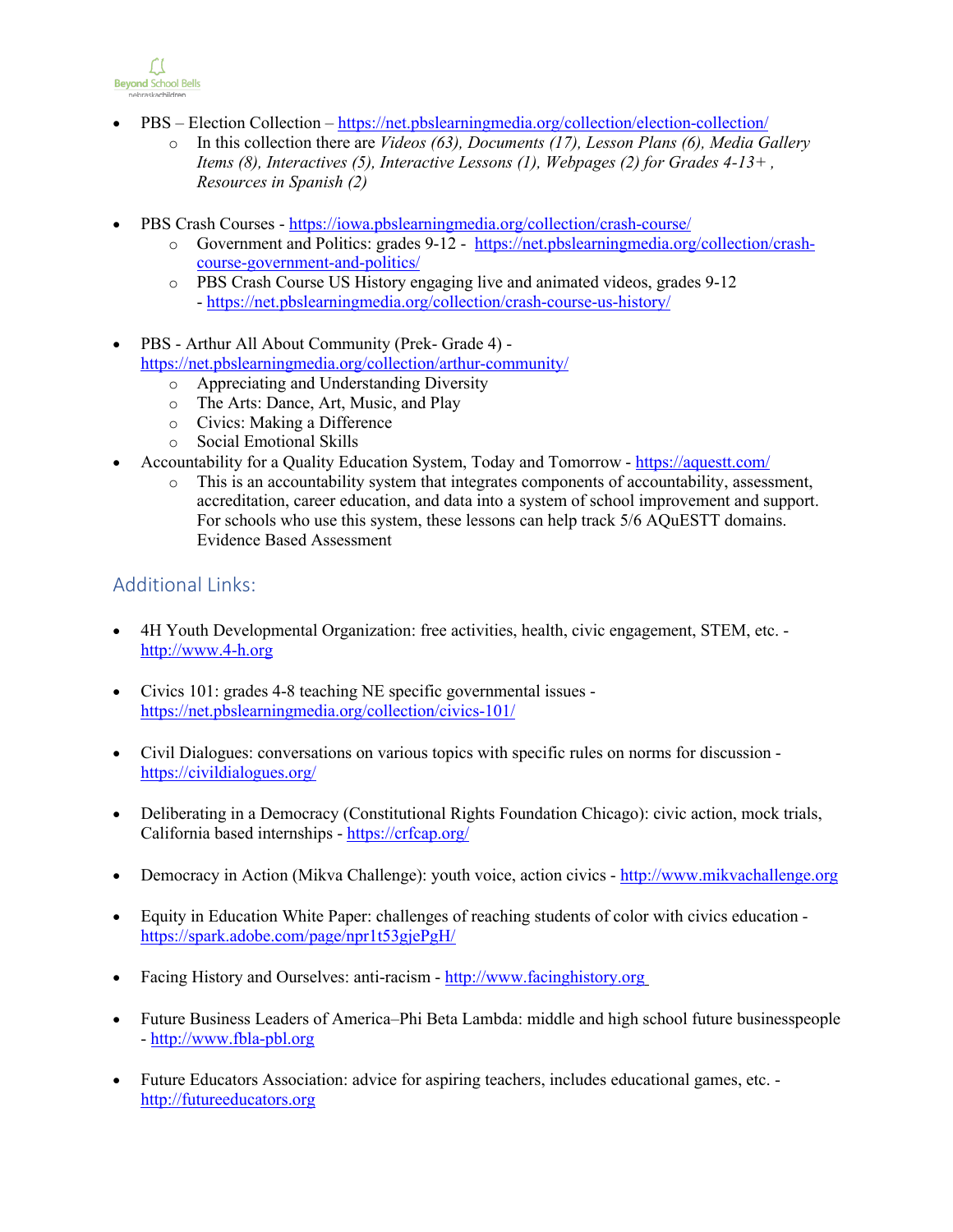

- PBS Election Collection https://net.pbslearningmedia.org/collection/election-collection/
	- o In this collection there are *Videos (63), Documents (17), Lesson Plans (6), Media Gallery Items (8), Interactives (5), Interactive Lessons (1), Webpages (2) for Grades 4-13+ , Resources in Spanish (2)*
- PBS Crash Courses https://iowa.pbslearningmedia.org/collection/crash-course/
	- o Government and Politics: grades 9-12 https://net.pbslearningmedia.org/collection/crashcourse-government-and-politics/
	- o PBS Crash Course US History engaging live and animated videos, grades 9-12 - https://net.pbslearningmedia.org/collection/crash-course-us-history/
- PBS Arthur All About Community (Prek- Grade 4) https://net.pbslearningmedia.org/collection/arthur-community/
	- o Appreciating and Understanding Diversity
	- o The Arts: Dance, Art, Music, and Play
	- o Civics: Making a Difference
	- o Social Emotional Skills
- Accountability for a Quality Education System, Today and Tomorrow https://aquestt.com/
	- o This is an accountability system that integrates components of accountability, assessment, accreditation, career education, and data into a system of school improvement and support. For schools who use this system, these lessons can help track 5/6 AQuESTT domains. Evidence Based Assessment

#### Additional Links:

- 4H Youth Developmental Organization: free activities, health, civic engagement, STEM, etc. http://www.4-h.org
- Civics 101: grades 4-8 teaching NE specific governmental issues https://net.pbslearningmedia.org/collection/civics-101/
- Civil Dialogues: conversations on various topics with specific rules on norms for discussion https://civildialogues.org/
- Deliberating in a Democracy (Constitutional Rights Foundation Chicago): civic action, mock trials, California based internships - https://crfcap.org/
- Democracy in Action (Mikva Challenge): youth voice, action civics http://www.mikvachallenge.org
- Equity in Education White Paper: challenges of reaching students of color with civics education https://spark.adobe.com/page/npr1t53gjePgH/
- Facing History and Ourselves: anti-racism http://www.facinghistory.org
- Future Business Leaders of America–Phi Beta Lambda: middle and high school future businesspeople - http://www.fbla-pbl.org
- Future Educators Association: advice for aspiring teachers, includes educational games, etc. http://futureeducators.org